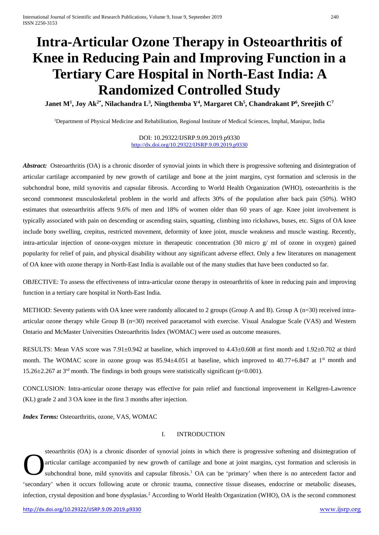# **Intra-Articular Ozone Therapy in Osteoarthritis of Knee in Reducing Pain and Improving Function in a Tertiary Care Hospital in North-East India: A Randomized Controlled Study**

 $\bf{J}$ anet  $\bf{M}^1$ ,  $\bf{J}$ oy Ak $^{2*}$ , Nilachandra  $\bf{L}^3$ , Ningthemba  $\bf{Y}^4$ , Margaret Ch $^5$ , Chandrakant  $\bf{P}^6$ , Sreejith C $^7$ 

<sup>1</sup>Department of Physical Medicine and Rehabilitation, Regional Institute of Medical Sciences, Imphal, Manipur, India

DOI: 10.29322/IJSRP.9.09.2019.p9330 <http://dx.doi.org/10.29322/IJSRP.9.09.2019.p9330>

*Abstract:* Osteoarthritis (OA) is a chronic disorder of synovial joints in which there is progressive softening and disintegration of articular cartilage accompanied by new growth of cartilage and bone at the joint margins, cyst formation and sclerosis in the subchondral bone, mild synovitis and capsular fibrosis. According to World Health Organization (WHO), osteoarthritis is the second commonest musculoskeletal problem in the world and affects 30% of the population after back pain (50%). WHO estimates that osteoarthritis affects 9.6% of men and 18% of women older than 60 years of age. Knee joint involvement is typically associated with pain on descending or ascending stairs, squatting, climbing into rickshaws, buses, etc. Signs of OA knee include bony swelling, crepitus, restricted movement, deformity of knee joint, muscle weakness and muscle wasting. Recently, intra-articular injection of ozone-oxygen mixture in therapeutic concentration (30 micro g/ ml of ozone in oxygen) gained popularity for relief of pain, and physical disability without any significant adverse effect. Only a few literatures on management of OA knee with ozone therapy in North-East India is available out of the many studies that have been conducted so far.

OBJECTIVE: To assess the effectiveness of intra-articular ozone therapy in osteoarthritis of knee in reducing pain and improving function in a tertiary care hospital in North-East India.

METHOD: Seventy patients with OA knee were randomly allocated to 2 groups (Group A and B). Group A (n=30) received intraarticular ozone therapy while Group B (n=30) received paracetamol with exercise. Visual Analogue Scale (VAS) and Western Ontario and McMaster Universities Osteoarthritis Index (WOMAC) were used as outcome measures.

RESULTS: Mean VAS score was 7.91±0.942 at baseline, which improved to 4.43±0.608 at first month and 1.92±0.702 at third month. The WOMAC score in ozone group was  $85.94\pm4.051$  at baseline, which improved to  $40.77+6.847$  at  $1<sup>st</sup>$  month and 15.26 $\pm$ 2.267 at 3<sup>rd</sup> month. The findings in both groups were statistically significant (p<0.001).

CONCLUSION: Intra-articular ozone therapy was effective for pain relief and functional improvement in Kellgren-Lawrence (KL) grade 2 and 3 OA knee in the first 3 months after injection.

*Index Terms:* Osteoarthritis, ozone, VAS, WOMAC

## I. INTRODUCTION

steoarthritis (OA) is a chronic disorder of synovial joints in which there is progressive softening and disintegration of articular cartilage accompanied by new growth of cartilage and bone at joint margins, cyst formation and sclerosis in subchondral bone, mild synovitis and capsular fibrosis.<sup>1</sup> OA can be 'primary' when there is no antecedent factor and 'secondary' when it occurs following acute or chronic trauma, connective tissue diseases, endocrine or metabolic diseases, infection, crystal deposition and bone dysplasias.<sup>2</sup> According to World Health Organization (WHO), OA is the second commonest O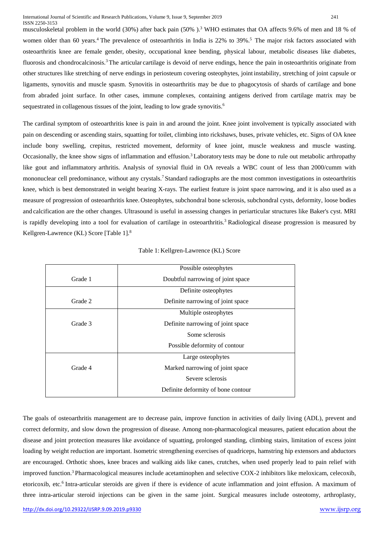musculoskeletal problem in the world (30%) after back pain (50% ).3 WHO estimates that OA affects 9.6% of men and 18 % of women older than 60 years.<sup>4</sup> The prevalence of osteoarthritis in India is 22% to 39%.<sup>5</sup> The major risk factors associated with osteoarthritis knee are female gender, obesity, occupational knee bending, physical labour, metabolic diseases like diabetes, fluorosis and chondrocalcinosis.3 The articular cartilage is devoid of nerve endings, hence the pain in osteoarthritis originate from other structures like stretching of nerve endings in periosteum covering osteophytes, joint instability, stretching of joint capsule or ligaments, synovitis and muscle spasm. Synovitis in osteoarthritis may be due to phagocytosis of shards of cartilage and bone from abraded joint surface. In other cases, immune complexes, containing antigens derived from cartilage matrix may be sequestrated in collagenous tissues of the joint, leading to low grade synovitis.<sup>6</sup>

The cardinal symptom of osteoarthritis knee is pain in and around the joint. Knee joint involvement is typically associated with pain on descending or ascending stairs, squatting for toilet, climbing into rickshaws, buses, private vehicles, etc. Signs of OA knee include bony swelling, crepitus, restricted movement, deformity of knee joint, muscle weakness and muscle wasting. Occasionally, the knee show signs of inflammation and effusion.<sup>3</sup> Laboratory tests may be done to rule out metabolic arthropathy like gout and inflammatory arthritis. Analysis of synovial fluid in OA reveals a WBC count of less than 2000/cumm with mononuclear cell predominance, without any crystals. 7 Standard radiographs are the most common investigations in osteoarthritis knee, which is best demonstrated in weight bearing X-rays. The earliest feature is joint space narrowing, and it is also used as a measure of progression of osteoarthritis knee. Osteophytes, subchondral bone sclerosis, subchondral cysts, deformity, loose bodies and calcification are the other changes. Ultrasound is useful in assessing changes in periarticular structures like Baker's cyst. MRI is rapidly developing into a tool for evaluation of cartilage in osteoarthritis.<sup>3</sup> Radiological disease progression is measured by Kellgren-Lawrence (KL) Score [Table 1]. 8

|         | Possible osteophytes               |  |  |  |
|---------|------------------------------------|--|--|--|
| Grade 1 | Doubtful narrowing of joint space  |  |  |  |
|         | Definite osteophytes               |  |  |  |
| Grade 2 | Definite narrowing of joint space  |  |  |  |
|         | Multiple osteophytes               |  |  |  |
| Grade 3 | Definite narrowing of joint space  |  |  |  |
|         | Some sclerosis                     |  |  |  |
|         | Possible deformity of contour      |  |  |  |
|         | Large osteophytes                  |  |  |  |
| Grade 4 | Marked narrowing of joint space    |  |  |  |
|         | Severe sclerosis                   |  |  |  |
|         | Definite deformity of bone contour |  |  |  |

| Table 1: Kellgren-Lawrence (KL) Score |
|---------------------------------------|
|---------------------------------------|

The goals of osteoarthritis management are to decrease pain, improve function in activities of daily living (ADL), prevent and correct deformity, and slow down the progression of disease. Among non-pharmacological measures, patient education about the disease and joint protection measures like avoidance of squatting, prolonged standing, climbing stairs, limitation of excess joint loading by weight reduction are important. Isometric strengthening exercises of quadriceps, hamstring hip extensors and abductors are encouraged. Orthotic shoes, knee braces and walking aids like canes, crutches, when used properly lead to pain relief with improved function.3 Pharmacological measures include acetaminophen and selective COX-2 inhibitors like meloxicam, celecoxib, etoricoxib, etc.<sup>6</sup> Intra-articular steroids are given if there is evidence of acute inflammation and joint effusion. A maximum of three intra-articular steroid injections can be given in the same joint. Surgical measures include osteotomy, arthroplasty,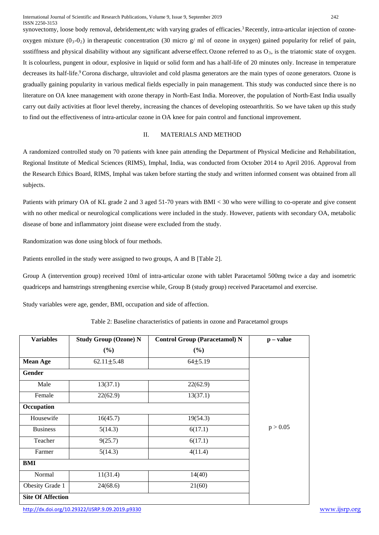synovectomy, loose body removal, debridement,etc with varying grades of efficacies.<sup>3</sup> Recently, intra-articular injection of ozoneoxygen mixture  $(0_3-0_2)$  in therapeutic concentration (30 micro g/ ml of ozone in oxygen) gained popularity for relief of pain, ssstiffness and physical disability without any significant adverse effect. Ozone referred to as  $O_3$ , is the triatomic state of oxygen. It is colourless, pungent in odour, explosive in liquid or solid form and has a half-life of 20 minutes only. Increase in temperature decreases its half-life.<sup>9</sup>Corona discharge, ultraviolet and cold plasma generators are the main types of ozone generators. Ozone is gradually gaining popularity in various medical fields especially in pain management. This study was conducted since there is no literature on OA knee management with ozone therapy in North-East India. Moreover, the population of North-East India usually carry out daily activities at floor level thereby, increasing the chances of developing osteoarthritis. So we have taken up this study to find out the effectiveness of intra-articular ozone in OA knee for pain control and functional improvement.

## II. MATERIALS AND METHOD

A randomized controlled study on 70 patients with knee pain attending the Department of Physical Medicine and Rehabilitation, Regional Institute of Medical Sciences (RIMS), Imphal, India, was conducted from October 2014 to April 2016. Approval from the Research Ethics Board, RIMS, Imphal was taken before starting the study and written informed consent was obtained from all subjects.

Patients with primary OA of KL grade 2 and 3 aged 51-70 years with BMI < 30 who were willing to co-operate and give consent with no other medical or neurological complications were included in the study. However, patients with secondary OA, metabolic disease of bone and inflammatory joint disease were excluded from the study.

Randomization was done using block of four methods.

Patients enrolled in the study were assigned to two groups, A and B [Table 2].

Group A (intervention group) received 10ml of intra-articular ozone with tablet Paracetamol 500mg twice a day and isometric quadriceps and hamstrings strengthening exercise while, Group B (study group) received Paracetamol and exercise.

Study variables were age, gender, BMI, occupation and side of affection.

| <b>Variables</b>         | <b>Study Group (Ozone) N</b> | <b>Control Group (Paracetamol) N</b> | $\mathbf{p}$ – value |
|--------------------------|------------------------------|--------------------------------------|----------------------|
|                          | (%)                          | (%)                                  |                      |
| <b>Mean Age</b>          | $62.11 \pm 5.48$             | $64 + 5.19$                          |                      |
| <b>Gender</b>            |                              |                                      |                      |
| Male                     | 13(37.1)                     | 22(62.9)                             |                      |
| Female                   | 22(62.9)                     | 13(37.1)                             |                      |
| Occupation               |                              |                                      |                      |
| Housewife                | 16(45.7)                     | 19(54.3)                             |                      |
| <b>Business</b>          | 5(14.3)                      | 6(17.1)                              | p > 0.05             |
| Teacher                  | 9(25.7)                      | 6(17.1)                              |                      |
| Farmer                   | 5(14.3)                      | 4(11.4)                              |                      |
| BMI                      |                              |                                      |                      |
| Normal                   | 11(31.4)                     | 14(40)                               |                      |
| Obesity Grade 1          | 24(68.6)                     | 21(60)                               |                      |
| <b>Site Of Affection</b> |                              |                                      |                      |

Table 2: Baseline characteristics of patients in ozone and Paracetamol groups

<http://dx.doi.org/10.29322/IJSRP.9.09.2019.p9330> [www.ijsrp.org](http://ijsrp.org/)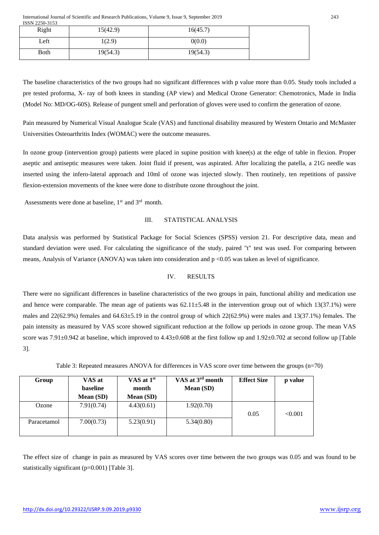International Journal of Scientific and Research Publications, Volume 9, Issue 9, September 2019 243 ISSN 2250-3153

| Right        | 15(42.9) | 16(45.7) |  |
|--------------|----------|----------|--|
| Left         | 1(2.9)   | 0(0.0)   |  |
| <b>B</b> oth | 19(54.3) | 19(54.3) |  |

The baseline characteristics of the two groups had no significant differences with p value more than 0.05. Study tools included a pre tested proforma, X- ray of both knees in standing (AP view) and Medical Ozone Generator: Chemotronics, Made in India (Model No: MD/OG-60S). Release of pungent smell and perforation of gloves were used to confirm the generation of ozone.

Pain measured by Numerical Visual Analogue Scale (VAS) and functional disability measured by Western Ontario and McMaster Universities Osteoarthritis Index (WOMAC) were the outcome measures.

In ozone group (intervention group) patients were placed in supine position with knee(s) at the edge of table in flexion. Proper aseptic and antiseptic measures were taken. Joint fluid if present, was aspirated. After localizing the patella, a 21G needle was inserted using the infero-lateral approach and 10ml of ozone was injected slowly. Then routinely, ten repetitions of passive flexion-extension movements of the knee were done to distribute ozone throughout the joint.

Assessments were done at baseline, 1<sup>st</sup> and 3<sup>rd</sup> month.

#### III. STATISTICAL ANALYSIS

Data analysis was performed by Statistical Package for Social Sciences (SPSS) version 21. For descriptive data, mean and standard deviation were used. For calculating the significance of the study, paired "t" test was used. For comparing between means, Analysis of Variance (ANOVA) was taken into consideration and p <0.05 was taken as level of significance.

#### IV. RESULTS

There were no significant differences in baseline characteristics of the two groups in pain, functional ability and medication use and hence were comparable. The mean age of patients was  $62.11 \pm 5.48$  in the intervention group out of which 13(37.1%) were males and  $22(62.9%)$  females and  $64.63\pm5.19$  in the control group of which  $22(62.9%)$  were males and  $13(37.1%)$  females. The pain intensity as measured by VAS score showed significant reduction at the follow up periods in ozone group. The mean VAS score was 7.91 $\pm$ 0.942 at baseline, which improved to 4.43 $\pm$ 0.608 at the first follow up and 1.92 $\pm$ 0.702 at second follow up [Table 3].

| Group       | VAS at<br>baseline<br><b>Mean</b> (SD) | VAS at $1st$<br>month<br>Mean (SD) | VAS at 3 <sup>rd</sup> month<br>Mean (SD) | <b>Effect Size</b> | p value |
|-------------|----------------------------------------|------------------------------------|-------------------------------------------|--------------------|---------|
| Ozone       | 7.91(0.74)                             | 4.43(0.61)                         | 1.92(0.70)                                | 0.05               | < 0.001 |
| Paracetamol | 7.00(0.73)                             | 5.23(0.91)                         | 5.34(0.80)                                |                    |         |

Table 3: Repeated measures ANOVA for differences in VAS score over time between the groups (n=70)

The effect size of change in pain as measured by VAS scores over time between the two groups was 0.05 and was found to be statistically significant (p=0.001) [Table 3].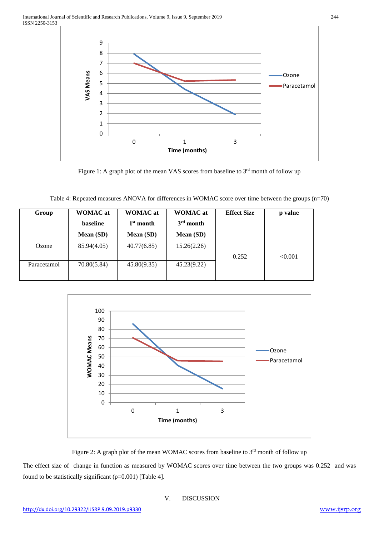

Figure 1: A graph plot of the mean VAS scores from baseline to 3<sup>rd</sup> month of follow up

| Table 4: Repeated measures ANOVA for differences in WOMAC score over time between the groups (n=70) |  |  |  |
|-----------------------------------------------------------------------------------------------------|--|--|--|
|                                                                                                     |  |  |  |

| Group       | <b>WOMAC</b> at | <b>WOMAC</b> at | <b>WOMAC</b> at | <b>Effect Size</b> | p value |
|-------------|-----------------|-----------------|-----------------|--------------------|---------|
|             | baseline        | $1st$ month     | $3rd$ month     |                    |         |
|             | Mean (SD)       | Mean (SD)       | Mean (SD)       |                    |         |
| Ozone       | 85.94(4.05)     | 40.77(6.85)     | 15.26(2.26)     |                    |         |
|             |                 |                 |                 | 0.252              | < 0.001 |
| Paracetamol | 70.80(5.84)     | 45.80(9.35)     | 45.23(9.22)     |                    |         |
|             |                 |                 |                 |                    |         |



Figure 2: A graph plot of the mean WOMAC scores from baseline to 3<sup>rd</sup> month of follow up

The effect size of change in function as measured by WOMAC scores over time between the two groups was 0.252 and was found to be statistically significant  $(p=0.001)$  [Table 4].

## V. DISCUSSION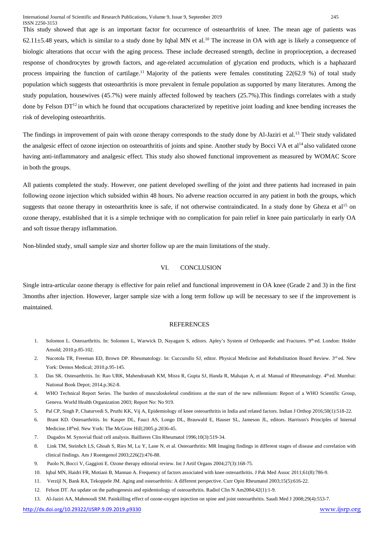This study showed that age is an important factor for occurrence of osteoarthritis of knee. The mean age of patients was  $62.11\pm5.48$  years, which is similar to a study done by Iqbal MN et al.<sup>10</sup> The increase in OA with age is likely a consequence of biologic alterations that occur with the aging process. These include decreased strength, decline in proprioception, a decreased response of chondrocytes by growth factors, and age-related accumulation of glycation end products, which is a haphazard process impairing the function of cartilage.<sup>11</sup> Majority of the patients were females constituting  $22(62.9 %)$  of total study population which suggests that osteoarthritis is more prevalent in female population as supported by many literatures. Among the study population, housewives (45.7%) were mainly affected followed by teachers (25.7%).This findings correlates with a study done by Felson  $DT^{12}$  in which he found that occupations characterized by repetitive joint loading and knee bending increases the risk of developing osteoarthritis.

The findings in improvement of pain with ozone therapy corresponds to the study done by Al-Jaziri et al.<sup>13</sup> Their study validated the analgesic effect of ozone injection on osteoarthritis of joints and spine. Another study by Bocci VA et al<sup>14</sup> also validated ozone having anti-inflammatory and analgesic effect. This study also showed functional improvement as measured by WOMAC Score in both the groups.

All patients completed the study. However, one patient developed swelling of the joint and three patients had increased in pain following ozone injection which subsided within 48 hours. No adverse reaction occurred in any patient in both the groups, which suggests that ozone therapy in osteoarthritis knee is safe, if not otherwise contraindicated. In a study done by Gheza et al<sup>15</sup> on ozone therapy, established that it is a simple technique with no complication for pain relief in knee pain particularly in early OA and soft tissue therapy inflammation.

Non-blinded study, small sample size and shorter follow up are the main limitations of the study.

#### VI. CONCLUSION

Single intra-articular ozone therapy is effective for pain relief and functional improvement in OA knee (Grade 2 and 3) in the first 3months after injection. However, larger sample size with a long term follow up will be necessary to see if the improvement is maintained.

#### **REFERENCES**

- 1. Solomon L. Osteoarthritis. In: Solomon L. Warwick D. Nayagam S. editors. Apley's System of Orthopaedic and Fractures. 9th ed. London: Holder Arnold; 2010.p.85-102.
- 2. Nucotola TR, Freeman ED, Brown DP. Rheumatology. In: Cuccurullo SJ, editor. Physical Medicine and Rehabilitation Board Review. 3rd ed. New York: Demos Medical; 2010.p.95-145.
- 3. Das SK. Osteoarthritis. In: Rao URK, Mahendranath KM, Misra R, Gupta SJ, Handa R, Mahajan A, et al. Manual of Rheumatology. 4<sup>th</sup> ed. Mumbai: National Book Depot; 2014.p.362-8.
- 4. WHO Technical Report Series. The burden of musculoskeletal conditions at the start of the new millennium: Report of a WHO Scientific Group, Geneva. World Health Organization 2003; Report No: No 919.
- 5. Pal CP, Singh P, Chaturvedi S, Pruthi KK, Vij A, Epidemiology of knee osteoarthritis in India and related factors. Indian J Orthop 2016;50(1):518-22.
- 6. Brant KD. Osteoarthritis. In: Kasper DL, Fauci AS, Longo DL, Brauwald E, Hauser SL, Jameson JL, editors. Harrison's Principles of Internal Medicine.18<sup>th</sup>ed. New York: The McGraw Hill;2005.p.2036-45.
- 7. Dugados M. Synovial fluid cell analysis. Baillieres Clin Rheumatol 1996;10(3):519-34.
- 8. Link TM, Steinbch LS, Ghoah S, Ries M, Lu Y, Lane N, et al. Osteoarthritis: MR Imaging findings in different stages of disease and correlation with clinical findings. Am J Roentgenol 2003;226(2):476-88.
- 9. Paolo N, Bocci V, Gaggioti E. Ozone therapy editorial review. Int J Artif Organs 2004;27(3):168-75.
- 10. Iqbal MN, Haidri FR, Motiani B, Mannan A. Frequency of factors associated with knee osteoarthritis. J Pak Med Assoc 2011;61(8):786-9.
- 11. Verzijl N, Bank RA, Tekoppele JM. Aging and osteoarthritis: A different perspective. Curr Opin Rheumatol 2003;15(5):616-22.
- 12. Felson DT. An update on the pathogenesis and epidemiology of osteoarthritis. Radiol Clin N Am2004;42(1):1-9.
- 13. Al-Jaziri AA, Mahmoodi SM. Painkilling effect of ozone-oxygen injection on spine and joint osteoarthritis. Saudi Med J 2008;29(4):553-7.